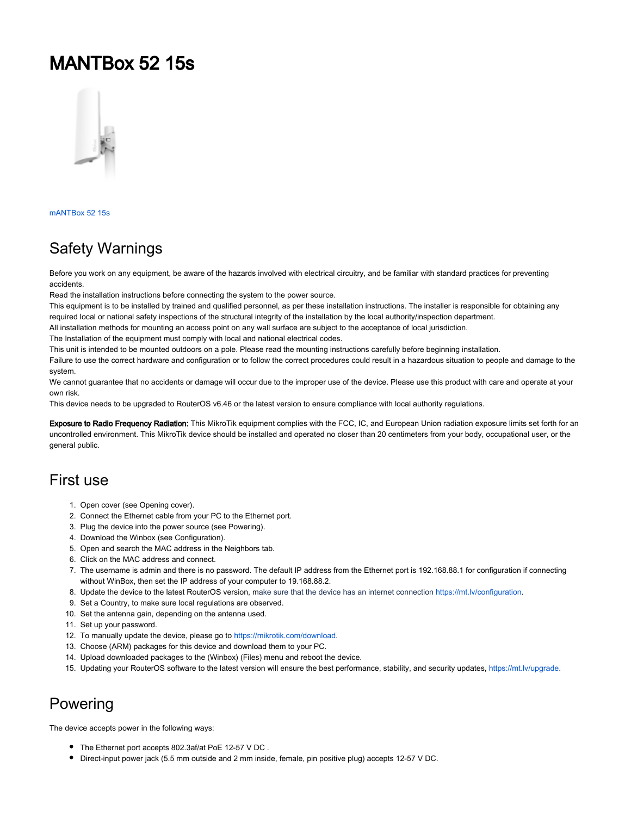# MANTBox 52 15s



[mANTBox 52 15s](https://mikrotik.com/product/mantbox_52_15s)

### Safety Warnings

Before you work on any equipment, be aware of the hazards involved with electrical circuitry, and be familiar with standard practices for preventing accidents.

Read the installation instructions before connecting the system to the power source.

This equipment is to be installed by trained and qualified personnel, as per these installation instructions. The installer is responsible for obtaining any required local or national safety inspections of the structural integrity of the installation by the local authority/inspection department.

All installation methods for mounting an access point on any wall surface are subject to the acceptance of local jurisdiction.

The Installation of the equipment must comply with local and national electrical codes.

This unit is intended to be mounted outdoors on a pole. Please read the mounting instructions carefully before beginning installation.

Failure to use the correct hardware and configuration or to follow the correct procedures could result in a hazardous situation to people and damage to the system.

We cannot guarantee that no accidents or damage will occur due to the improper use of the device. Please use this product with care and operate at your own risk.

This device needs to be upgraded to RouterOS v6.46 or the latest version to ensure compliance with local authority regulations.

Exposure to Radio Frequency Radiation: This MikroTik equipment complies with the FCC, IC, and European Union radiation exposure limits set forth for an uncontrolled environment. This MikroTik device should be installed and operated no closer than 20 centimeters from your body, occupational user, or the general public.

### First use

- 1. Open cover (see Opening cover).
- 2. Connect the Ethernet cable from your PC to the Ethernet port.
- 3. Plug the device into the power source (see Powering).
- 4. Download the Winbox (see Configuration).
- 5. Open and search the MAC address in the Neighbors tab.
- 6. Click on the MAC address and connect.
- 7. The username is admin and there is no password. The default IP address from the Ethernet port is 192.168.88.1 for configuration if connecting without WinBox, then set the IP address of your computer to 19.168.88.2.
- 8. Update the device to the latest RouterOS version, make sure that the device has an internet connection <https://mt.lv/configuration>.
- 9. Set a Country, to make sure local regulations are observed.
- 10. Set the antenna gain, depending on the antenna used.
- 11. Set up your password.
- 12. To manually update the device, please go to [https://mikrotik.com/download.](https://mikrotik.com/download)
- 13. Choose (ARM) packages for this device and download them to your PC.
- 14. Upload downloaded packages to the (Winbox) (Files) menu and reboot the device.
- 15. Updating your RouterOS software to the latest version will ensure the best performance, stability, and security updates, <https://mt.lv/upgrade>.

### Powering

The device accepts power in the following ways:

- The Ethernet port accepts 802.3af/at PoE 12-57 V DC .
- Direct-input power jack (5.5 mm outside and 2 mm inside, female, pin positive plug) accepts 12-57 V DC.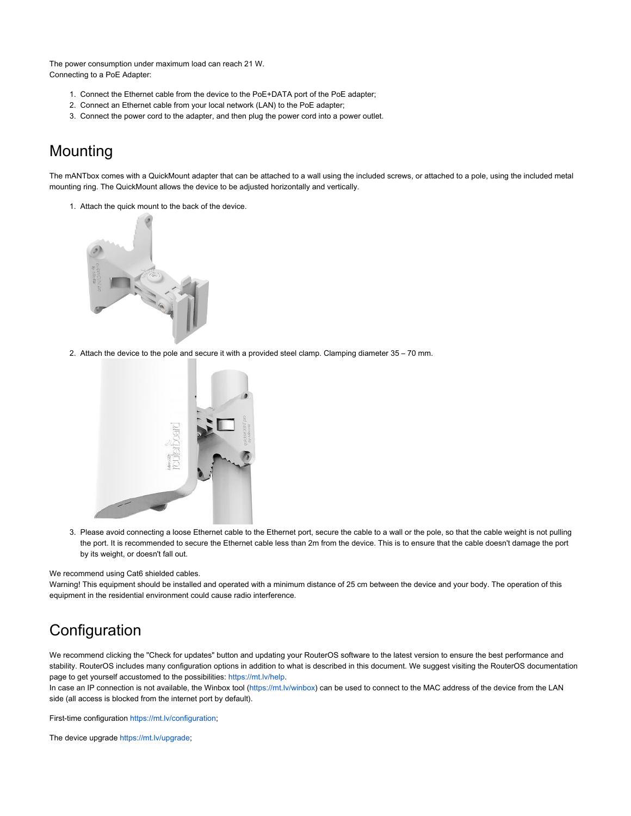The power consumption under maximum load can reach 21 W. Connecting to a PoE Adapter:

- 1. Connect the Ethernet cable from the device to the PoE+DATA port of the PoE adapter;
- 2. Connect an Ethernet cable from your local network (LAN) to the PoE adapter;
- 3. Connect the power cord to the adapter, and then plug the power cord into a power outlet.

### Mounting

The mANTbox comes with a QuickMount adapter that can be attached to a wall using the included screws, or attached to a pole, using the included metal mounting ring. The QuickMount allows the device to be adjusted horizontally and vertically.

1. Attach the quick mount to the back of the device.



2. Attach the device to the pole and secure it with a provided steel clamp. Clamping diameter 35 – 70 mm.



3. Please avoid connecting a loose Ethernet cable to the Ethernet port, secure the cable to a wall or the pole, so that the cable weight is not pulling the port. It is recommended to secure the Ethernet cable less than 2m from the device. This is to ensure that the cable doesn't damage the port by its weight, or doesn't fall out.

We recommend using Cat6 shielded cables.

Warning! This equipment should be installed and operated with a minimum distance of 25 cm between the device and your body. The operation of this equipment in the residential environment could cause radio interference.

### **Configuration**

We recommend clicking the "Check for updates" button and updating your RouterOS software to the latest version to ensure the best performance and stability. RouterOS includes many configuration options in addition to what is described in this document. We suggest visiting the RouterOS documentation page to get yourself accustomed to the possibilities: <https://mt.lv/help>.

In case an IP connection is not available, the Winbox tool [\(https://mt.lv/winbox\)](https://mt.lv/winbox) can be used to connect to the MAC address of the device from the LAN side (all access is blocked from the internet port by default).

First-time configuration [https://mt.lv/configuration;](https://mt.lv/configuration)

The device upgrade<https://mt.lv/upgrade>;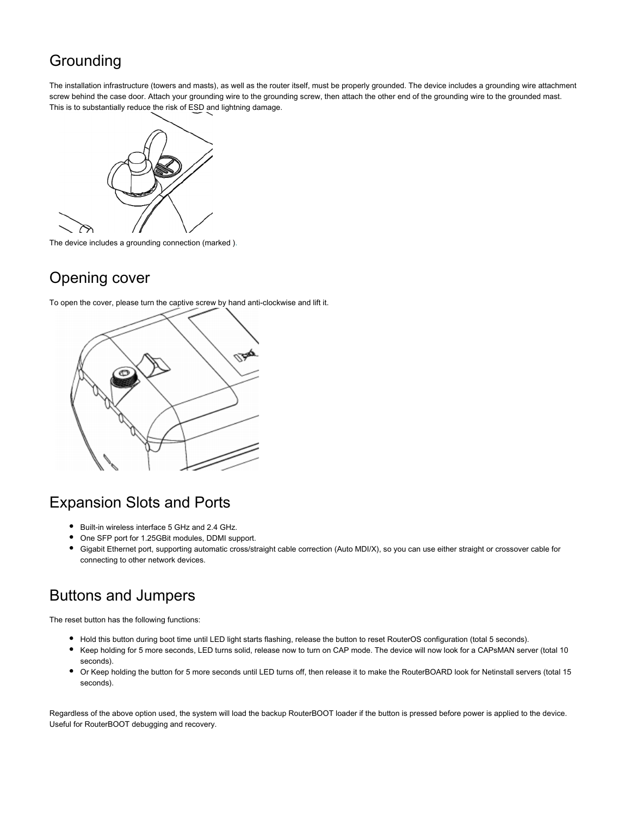### **Grounding**

The installation infrastructure (towers and masts), as well as the router itself, must be properly grounded. The device includes a grounding wire attachment screw behind the case door. Attach your grounding wire to the grounding screw, then attach the other end of the grounding wire to the grounded mast. This is to substantially reduce the risk of ESD and lightning damage.



The device includes a grounding connection (marked ).

### Opening cover

To open the cover, please turn the captive screw by hand anti-clockwise and lift it.



### Expansion Slots and Ports

- $\bullet$ Built-in wireless interface 5 GHz and 2.4 GHz.
- One SFP port for 1.25GBit modules, DDMI support.
- Gigabit Ethernet port, supporting automatic cross/straight cable correction (Auto MDI/X), so you can use either straight or crossover cable for connecting to other network devices.

### Buttons and Jumpers

The reset button has the following functions:

- Hold this button during boot time until LED light starts flashing, release the button to reset RouterOS configuration (total 5 seconds).
- Keep holding for 5 more seconds, LED turns solid, release now to turn on CAP mode. The device will now look for a CAPsMAN server (total 10 seconds).
- $\bullet$ Or Keep holding the button for 5 more seconds until LED turns off, then release it to make the RouterBOARD look for Netinstall servers (total 15 seconds).

Regardless of the above option used, the system will load the backup RouterBOOT loader if the button is pressed before power is applied to the device. Useful for RouterBOOT debugging and recovery.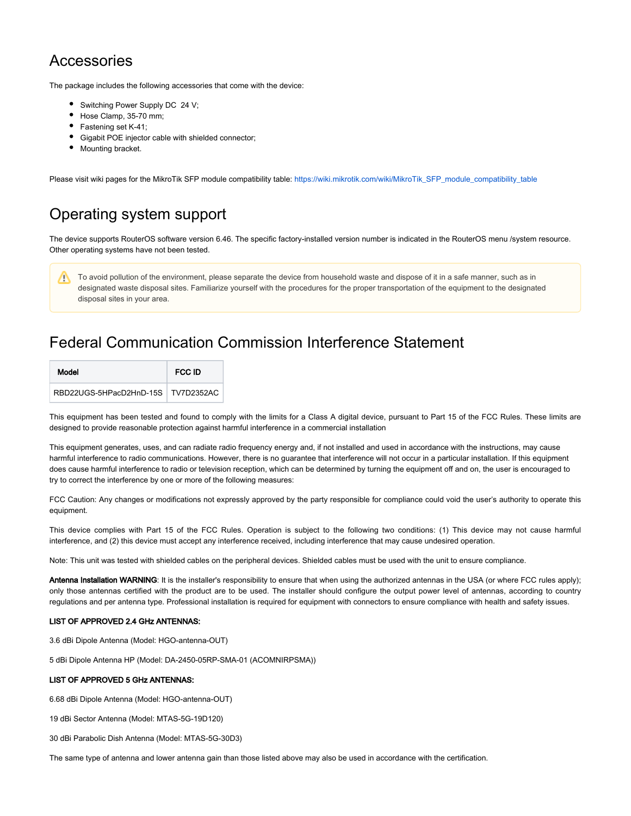### Accessories

The package includes the following accessories that come with the device:

- Switching Power Supply DC 24 V;
- Hose Clamp, 35-70 mm;
- Fastening set K-41;
- Gigabit POE injector cable with shielded connector;
- Mounting bracket.

Please visit wiki pages for the MikroTik SFP module compatibility table: [https://wiki.mikrotik.com/wiki/MikroTik\\_SFP\\_module\\_compatibility\\_table](https://wiki.mikrotik.com/wiki/MikroTik_SFP_module_compatibility_table)

### Operating system support

The device supports RouterOS software version 6.46. The specific factory-installed version number is indicated in the RouterOS menu /system resource. Other operating systems have not been tested.

To avoid pollution of the environment, please separate the device from household waste and dispose of it in a safe manner, such as in Δ designated waste disposal sites. Familiarize yourself with the procedures for the proper transportation of the equipment to the designated disposal sites in your area.

### Federal Communication Commission Interference Statement

| Model                                | FCC ID |
|--------------------------------------|--------|
| RBD22UGS-5HPacD2HnD-15S   TV7D2352AC |        |

This equipment has been tested and found to comply with the limits for a Class A digital device, pursuant to Part 15 of the FCC Rules. These limits are designed to provide reasonable protection against harmful interference in a commercial installation

This equipment generates, uses, and can radiate radio frequency energy and, if not installed and used in accordance with the instructions, may cause harmful interference to radio communications. However, there is no guarantee that interference will not occur in a particular installation. If this equipment does cause harmful interference to radio or television reception, which can be determined by turning the equipment off and on, the user is encouraged to try to correct the interference by one or more of the following measures:

FCC Caution: Any changes or modifications not expressly approved by the party responsible for compliance could void the user's authority to operate this equipment.

This device complies with Part 15 of the FCC Rules. Operation is subject to the following two conditions: (1) This device may not cause harmful interference, and (2) this device must accept any interference received, including interference that may cause undesired operation.

Note: This unit was tested with shielded cables on the peripheral devices. Shielded cables must be used with the unit to ensure compliance.

Antenna Installation WARNING: It is the installer's responsibility to ensure that when using the authorized antennas in the USA (or where FCC rules apply); only those antennas certified with the product are to be used. The installer should configure the output power level of antennas, according to country regulations and per antenna type. Professional installation is required for equipment with connectors to ensure compliance with health and safety issues.

#### LIST OF APPROVED 2.4 GHz ANTENNAS:

3.6 dBi Dipole Antenna (Model: HGO-antenna-OUT)

5 dBi Dipole Antenna HP (Model: DA-2450-05RP-SMA-01 (ACOMNIRPSMA))

#### LIST OF APPROVED 5 GHz ANTENNAS:

6.68 dBi Dipole Antenna (Model: HGO-antenna-OUT)

19 dBi Sector Antenna (Model: MTAS-5G-19D120)

30 dBi Parabolic Dish Antenna (Model: MTAS-5G-30D3)

The same type of antenna and lower antenna gain than those listed above may also be used in accordance with the certification.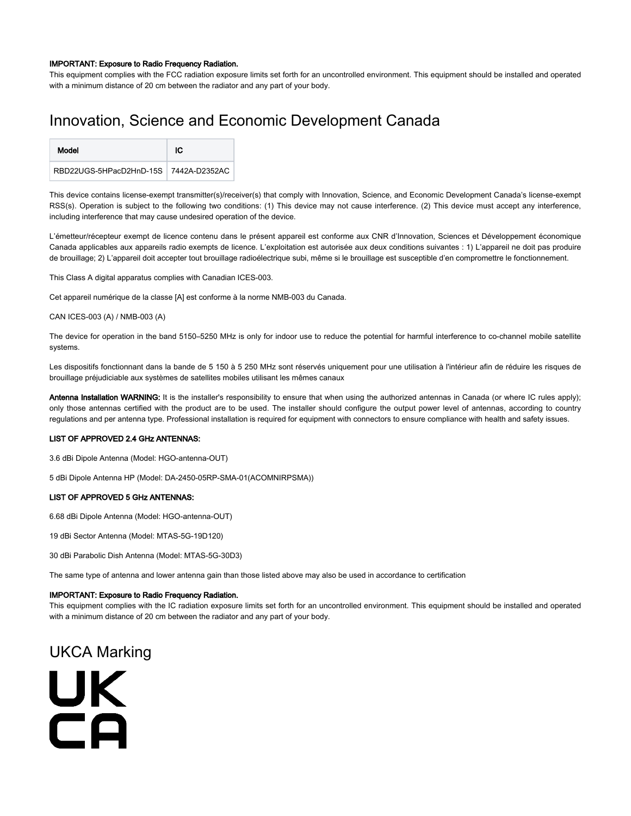#### IMPORTANT: Exposure to Radio Frequency Radiation.

This equipment complies with the FCC radiation exposure limits set forth for an uncontrolled environment. This equipment should be installed and operated with a minimum distance of 20 cm between the radiator and any part of your body.

### Innovation, Science and Economic Development Canada

| Model                                 | ЮC |
|---------------------------------------|----|
| RBD22UGS-5HPacD2HnD-15S 7442A-D2352AC |    |

This device contains license-exempt transmitter(s)/receiver(s) that comply with Innovation, Science, and Economic Development Canada's license-exempt RSS(s). Operation is subject to the following two conditions: (1) This device may not cause interference. (2) This device must accept any interference, including interference that may cause undesired operation of the device.

L'émetteur/récepteur exempt de licence contenu dans le présent appareil est conforme aux CNR d'Innovation, Sciences et Développement économique Canada applicables aux appareils radio exempts de licence. L'exploitation est autorisée aux deux conditions suivantes : 1) L'appareil ne doit pas produire de brouillage; 2) L'appareil doit accepter tout brouillage radioélectrique subi, même si le brouillage est susceptible d'en compromettre le fonctionnement.

This Class A digital apparatus complies with Canadian ICES-003.

Cet appareil numérique de la classe [A] est conforme à la norme NMB-003 du Canada.

#### CAN ICES-003 (A) / NMB-003 (A)

The device for operation in the band 5150–5250 MHz is only for indoor use to reduce the potential for harmful interference to co-channel mobile satellite systems.

Les dispositifs fonctionnant dans la bande de 5 150 à 5 250 MHz sont réservés uniquement pour une utilisation à l'intérieur afin de réduire les risques de brouillage préjudiciable aux systèmes de satellites mobiles utilisant les mêmes canaux

Antenna Installation WARNING: It is the installer's responsibility to ensure that when using the authorized antennas in Canada (or where IC rules apply); only those antennas certified with the product are to be used. The installer should configure the output power level of antennas, according to country regulations and per antenna type. Professional installation is required for equipment with connectors to ensure compliance with health and safety issues.

#### LIST OF APPROVED 2.4 GHz ANTENNAS:

3.6 dBi Dipole Antenna (Model: HGO-antenna-OUT)

5 dBi Dipole Antenna HP (Model: DA-2450-05RP-SMA-01(ACOMNIRPSMA))

#### LIST OF APPROVED 5 GHz ANTENNAS:

6.68 dBi Dipole Antenna (Model: HGO-antenna-OUT)

19 dBi Sector Antenna (Model: MTAS-5G-19D120)

30 dBi Parabolic Dish Antenna (Model: MTAS-5G-30D3)

The same type of antenna and lower antenna gain than those listed above may also be used in accordance to certification

#### IMPORTANT: Exposure to Radio Frequency Radiation.

This equipment complies with the IC radiation exposure limits set forth for an uncontrolled environment. This equipment should be installed and operated with a minimum distance of 20 cm between the radiator and any part of your body.

### UKCA Marking

UK CA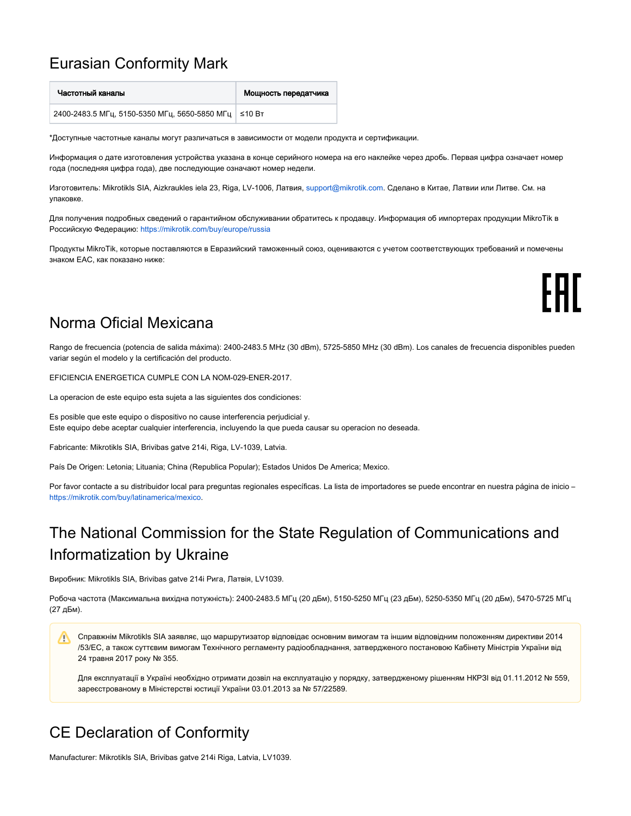### Eurasian Conformity Mark

| Частотный каналы                                       | Мощность передатчика |
|--------------------------------------------------------|----------------------|
| 2400-2483.5 МГц, 5150-5350 МГц, 5650-5850 МГц   ≤10 Вт |                      |

\*Доступные частотные каналы могут различаться в зависимости от модели продукта и сертификации.

Информация о дате изготовления устройства указана в конце серийного номера на его наклейке через дробь. Первая цифра означает номер года (последняя цифра года), две последующие означают номер недели.

Изготовитель: Mikrotikls SIA, Aizkraukles iela 23, Riga, LV-1006, Латвия, [support@mikrotik.com.](mailto:support@mikrotik.com) Сделано в Китае, Латвии или Литве. Cм. на упаковке.

Для получения подробных сведений о гарантийном обслуживании обратитесь к продавцу. Информация об импортерах продукции MikroTik в Российскую Федерацию:<https://mikrotik.com/buy/europe/russia>

Продукты MikroTik, которые поставляются в Евразийский таможенный союз, оцениваются с учетом соответствующих требований и помечены знаком EAC, как показано ниже:

FAL

### Norma Oficial Mexicana

Rango de frecuencia (potencia de salida máxima): 2400-2483.5 MHz (30 dBm), 5725-5850 MHz (30 dBm). Los canales de frecuencia disponibles pueden variar según el modelo y la certificación del producto.

EFICIENCIA ENERGETICA CUMPLE CON LA NOM-029-ENER-2017.

La operacion de este equipo esta sujeta a las siguientes dos condiciones:

Es posible que este equipo o dispositivo no cause interferencia perjudicial y. Este equipo debe aceptar cualquier interferencia, incluyendo la que pueda causar su operacion no deseada.

Fabricante: Mikrotikls SIA, Brivibas gatve 214i, Riga, LV-1039, Latvia.

País De Origen: Letonia; Lituania; China (Republica Popular); Estados Unidos De America; Mexico.

Por favor contacte a su distribuidor local para preguntas regionales específicas. La lista de importadores se puede encontrar en nuestra página de inicio – <https://mikrotik.com/buy/latinamerica/mexico>.

## The National Commission for the State Regulation of Communications and Informatization by Ukraine

Виробник: Mikrotikls SIA, Brivibas gatve 214i Рига, Латвія, LV1039.

Робоча частота (Максимальна вихідна потужність): 2400-2483.5 МГц (20 дБм), 5150-5250 МГц (23 дБм), 5250-5350 МГц (20 дБм), 5470-5725 МГц (27 дБм).

Справжнім Mikrotikls SIA заявляє, що маршрутизатор відповідає основним вимогам та іншим відповідним положенням директиви 2014 ∧ /53/EC, а також суттєвим вимогам Технічного регламенту радіообладнання, затвердженого постановою Кабінету Міністрів України від 24 травня 2017 року № 355.

Для експлуатації в Україні необхідно отримати дозвіл на експлуатацію у порядку, затвердженому рішенням НКРЗІ від 01.11.2012 № 559, зареєстрованому в Міністерстві юстиції України 03.01.2013 за № 57/22589.

### CE Declaration of Conformity

Manufacturer: Mikrotikls SIA, Brivibas gatve 214i Riga, Latvia, LV1039.